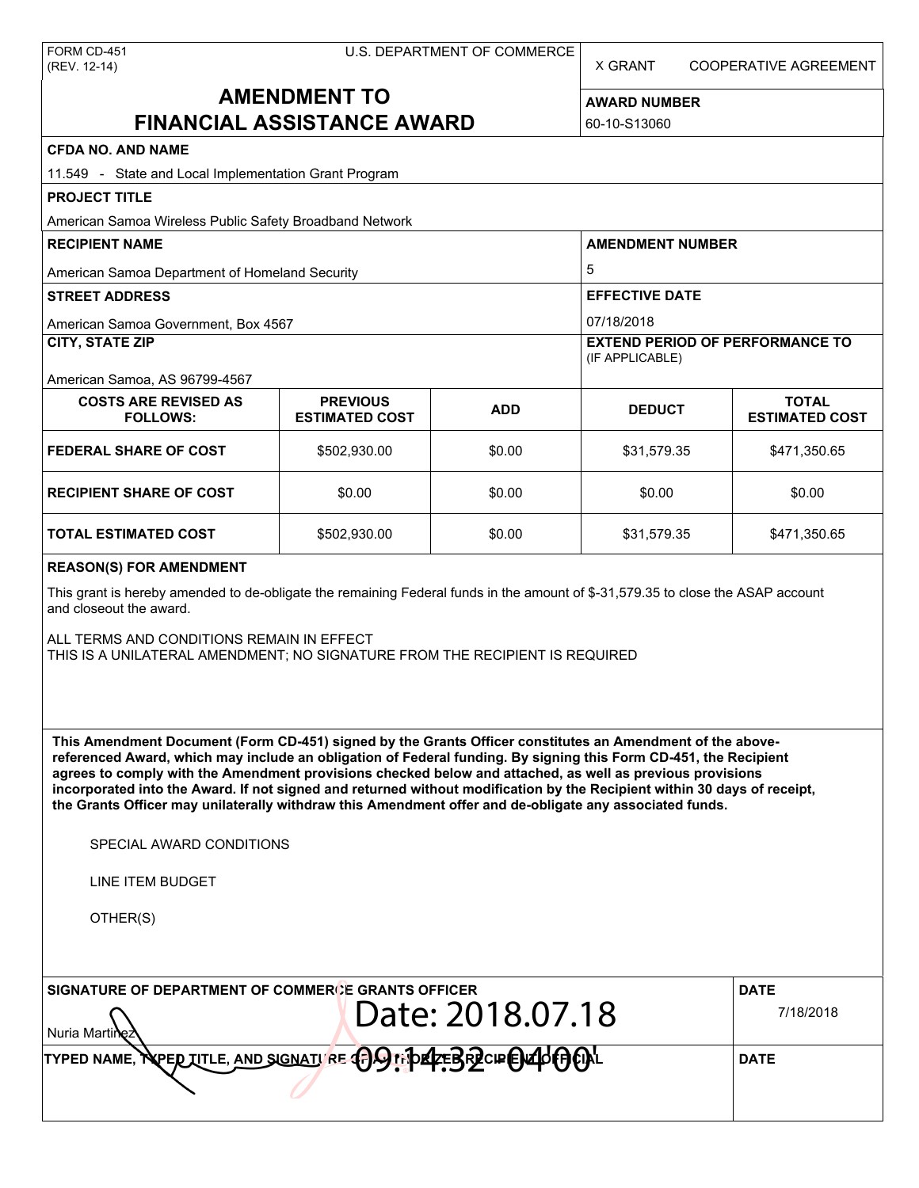X GRANT COOPERATIVE AGREEMENT

# **AMENDMENT TO FINANCIAL ASSISTANCE AWARD**

**AWARD NUMBER** 60-10-S13060

| <b>CFDA NO. AND NAME</b>                                                                                                                                                                                                                                                                                                                                                                                                                                                                                                                                                          |                                                                |            |                                                           |                                       |  |  |
|-----------------------------------------------------------------------------------------------------------------------------------------------------------------------------------------------------------------------------------------------------------------------------------------------------------------------------------------------------------------------------------------------------------------------------------------------------------------------------------------------------------------------------------------------------------------------------------|----------------------------------------------------------------|------------|-----------------------------------------------------------|---------------------------------------|--|--|
| 11.549 - State and Local Implementation Grant Program                                                                                                                                                                                                                                                                                                                                                                                                                                                                                                                             |                                                                |            |                                                           |                                       |  |  |
| <b>PROJECT TITLE</b>                                                                                                                                                                                                                                                                                                                                                                                                                                                                                                                                                              |                                                                |            |                                                           |                                       |  |  |
| American Samoa Wireless Public Safety Broadband Network                                                                                                                                                                                                                                                                                                                                                                                                                                                                                                                           |                                                                |            |                                                           |                                       |  |  |
| <b>RECIPIENT NAME</b>                                                                                                                                                                                                                                                                                                                                                                                                                                                                                                                                                             |                                                                |            | <b>AMENDMENT NUMBER</b>                                   |                                       |  |  |
| American Samoa Department of Homeland Security                                                                                                                                                                                                                                                                                                                                                                                                                                                                                                                                    |                                                                |            | 5                                                         |                                       |  |  |
| <b>STREET ADDRESS</b>                                                                                                                                                                                                                                                                                                                                                                                                                                                                                                                                                             |                                                                |            | <b>EFFECTIVE DATE</b>                                     |                                       |  |  |
| American Samoa Government, Box 4567                                                                                                                                                                                                                                                                                                                                                                                                                                                                                                                                               |                                                                |            | 07/18/2018                                                |                                       |  |  |
| <b>CITY, STATE ZIP</b>                                                                                                                                                                                                                                                                                                                                                                                                                                                                                                                                                            |                                                                |            | <b>EXTEND PERIOD OF PERFORMANCE TO</b><br>(IF APPLICABLE) |                                       |  |  |
| American Samoa, AS 96799-4567                                                                                                                                                                                                                                                                                                                                                                                                                                                                                                                                                     |                                                                |            |                                                           |                                       |  |  |
| <b>COSTS ARE REVISED AS</b><br><b>FOLLOWS:</b>                                                                                                                                                                                                                                                                                                                                                                                                                                                                                                                                    | <b>PREVIOUS</b><br><b>ESTIMATED COST</b>                       | <b>ADD</b> | <b>DEDUCT</b>                                             | <b>TOTAL</b><br><b>ESTIMATED COST</b> |  |  |
| <b>FEDERAL SHARE OF COST</b>                                                                                                                                                                                                                                                                                                                                                                                                                                                                                                                                                      | \$502,930.00                                                   | \$0.00     | \$31,579.35                                               | \$471,350.65                          |  |  |
| <b>RECIPIENT SHARE OF COST</b>                                                                                                                                                                                                                                                                                                                                                                                                                                                                                                                                                    | \$0.00                                                         | \$0.00     | \$0.00                                                    | \$0.00                                |  |  |
| TOTAL ESTIMATED COST                                                                                                                                                                                                                                                                                                                                                                                                                                                                                                                                                              | \$502,930.00                                                   | \$0.00     | \$31,579.35                                               | \$471,350.65                          |  |  |
| <b>REASON(S) FOR AMENDMENT</b>                                                                                                                                                                                                                                                                                                                                                                                                                                                                                                                                                    |                                                                |            |                                                           |                                       |  |  |
| This grant is hereby amended to de-obligate the remaining Federal funds in the amount of \$-31,579.35 to close the ASAP account<br>and closeout the award.<br>ALL TERMS AND CONDITIONS REMAIN IN EFFECT                                                                                                                                                                                                                                                                                                                                                                           |                                                                |            |                                                           |                                       |  |  |
| THIS IS A UNILATERAL AMENDMENT; NO SIGNATURE FROM THE RECIPIENT IS REQUIRED                                                                                                                                                                                                                                                                                                                                                                                                                                                                                                       |                                                                |            |                                                           |                                       |  |  |
| This Amendment Document (Form CD-451) signed by the Grants Officer constitutes an Amendment of the above-<br>referenced Award, which may include an obligation of Federal funding. By signing this Form CD-451, the Recipient<br>agrees to comply with the Amendment provisions checked below and attached, as well as previous provisions<br>incorporated into the Award. If not signed and returned without modification by the Recipient within 30 days of receipt,<br>the Grants Officer may unilaterally withdraw this Amendment offer and de-obligate any associated funds. |                                                                |            |                                                           |                                       |  |  |
| SPECIAL AWARD CONDITIONS                                                                                                                                                                                                                                                                                                                                                                                                                                                                                                                                                          |                                                                |            |                                                           |                                       |  |  |
| LINE ITEM BUDGET                                                                                                                                                                                                                                                                                                                                                                                                                                                                                                                                                                  |                                                                |            |                                                           |                                       |  |  |
| OTHER(S)                                                                                                                                                                                                                                                                                                                                                                                                                                                                                                                                                                          |                                                                |            |                                                           |                                       |  |  |
| SIGNATURE OF DEPARTMENT OF COMMERCE GRANTS OFFICER                                                                                                                                                                                                                                                                                                                                                                                                                                                                                                                                |                                                                |            |                                                           | <b>DATE</b>                           |  |  |
| Nuria Martii                                                                                                                                                                                                                                                                                                                                                                                                                                                                                                                                                                      | 7/18/2018                                                      |            |                                                           |                                       |  |  |
| TYPED NAME.                                                                                                                                                                                                                                                                                                                                                                                                                                                                                                                                                                       | <b>VPED TITLE, AND SIGNATI RE CAS INDECEBRECIE EN 40 EDIAL</b> |            |                                                           | <b>DATE</b>                           |  |  |